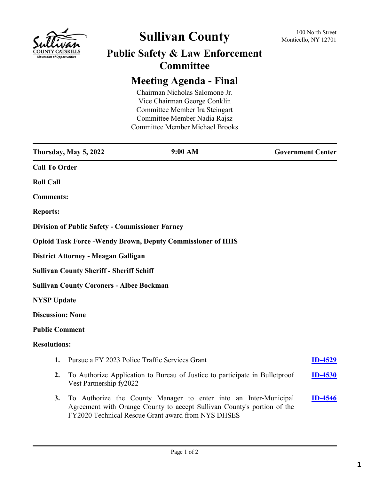

# **Sullivan County** 100 North Street 100 North Street

## **Public Safety & Law Enforcement Committee**

## **Meeting Agenda - Final**

Chairman Nicholas Salomone Jr. Vice Chairman George Conklin Committee Member Ira Steingart Committee Member Nadia Rajsz Committee Member Michael Brooks

|                         | Thursday, May 5, 2022                                  | 9:00 AM                                                                                                                                                                                           | <b>Government Center</b> |
|-------------------------|--------------------------------------------------------|---------------------------------------------------------------------------------------------------------------------------------------------------------------------------------------------------|--------------------------|
| <b>Call To Order</b>    |                                                        |                                                                                                                                                                                                   |                          |
| <b>Roll Call</b>        |                                                        |                                                                                                                                                                                                   |                          |
| <b>Comments:</b>        |                                                        |                                                                                                                                                                                                   |                          |
| <b>Reports:</b>         |                                                        |                                                                                                                                                                                                   |                          |
|                         | <b>Division of Public Safety - Commissioner Farney</b> |                                                                                                                                                                                                   |                          |
|                         |                                                        | <b>Opioid Task Force - Wendy Brown, Deputy Commissioner of HHS</b>                                                                                                                                |                          |
|                         | District Attorney - Meagan Galligan                    |                                                                                                                                                                                                   |                          |
|                         | <b>Sullivan County Sheriff - Sheriff Schiff</b>        |                                                                                                                                                                                                   |                          |
|                         | <b>Sullivan County Coroners - Albee Bockman</b>        |                                                                                                                                                                                                   |                          |
| <b>NYSP Update</b>      |                                                        |                                                                                                                                                                                                   |                          |
| <b>Discussion: None</b> |                                                        |                                                                                                                                                                                                   |                          |
| <b>Public Comment</b>   |                                                        |                                                                                                                                                                                                   |                          |
| <b>Resolutions:</b>     |                                                        |                                                                                                                                                                                                   |                          |
| 1.                      |                                                        | Pursue a FY 2023 Police Traffic Services Grant                                                                                                                                                    | <b>ID-4529</b>           |
| 2.                      | Vest Partnership fy2022                                | To Authorize Application to Bureau of Justice to participate in Bulletproof                                                                                                                       | <b>ID-4530</b>           |
| 3.                      |                                                        | To Authorize the County Manager to enter into an Inter-Municipal<br>Agreement with Orange County to accept Sullivan County's portion of the<br>FY2020 Technical Rescue Grant award from NYS DHSES | <b>ID-4546</b>           |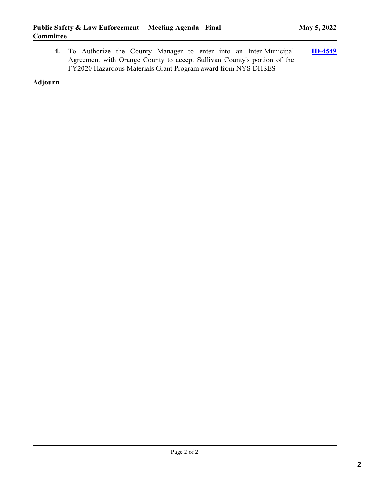**4.** To Authorize the County Manager to enter into an Inter-Municipal Agreement with Orange County to accept Sullivan County's portion of the FY2020 Hazardous Materials Grant Program award from NYS DHSES **[ID-4549](http://sullivancountyny.legistar.com/gateway.aspx?m=l&id=/matter.aspx?key=1575)**

**Adjourn**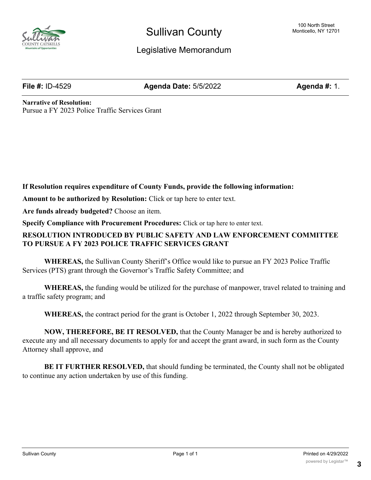

## Legislative Memorandum

**File #:** ID-4529 **Agenda Date:** 5/5/2022 **Agenda #:** 1.

**Narrative of Resolution:** Pursue a FY 2023 Police Traffic Services Grant

**If Resolution requires expenditure of County Funds, provide the following information:**

**Amount to be authorized by Resolution:** Click or tap here to enter text.

**Are funds already budgeted?** Choose an item.

**Specify Compliance with Procurement Procedures:** Click or tap here to enter text.

### **RESOLUTION INTRODUCED BY PUBLIC SAFETY AND LAW ENFORCEMENT COMMITTEE TO PURSUE A FY 2023 POLICE TRAFFIC SERVICES GRANT**

**WHEREAS,** the Sullivan County Sheriff's Office would like to pursue an FY 2023 Police Traffic Services (PTS) grant through the Governor's Traffic Safety Committee; and

**WHEREAS,** the funding would be utilized for the purchase of manpower, travel related to training and a traffic safety program; and

**WHEREAS,** the contract period for the grant is October 1, 2022 through September 30, 2023.

**NOW, THEREFORE, BE IT RESOLVED,** that the County Manager be and is hereby authorized to execute any and all necessary documents to apply for and accept the grant award, in such form as the County Attorney shall approve, and

**BE IT FURTHER RESOLVED,** that should funding be terminated, the County shall not be obligated to continue any action undertaken by use of this funding.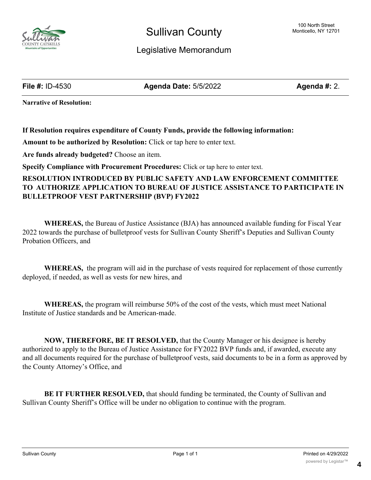

## Legislative Memorandum

**File #:** ID-4530 **Agenda Date:** 5/5/2022 **Agenda #:** 2.

**Narrative of Resolution:**

**If Resolution requires expenditure of County Funds, provide the following information:**

**Amount to be authorized by Resolution:** Click or tap here to enter text.

**Are funds already budgeted?** Choose an item.

**Specify Compliance with Procurement Procedures:** Click or tap here to enter text.

### **RESOLUTION INTRODUCED BY PUBLIC SAFETY AND LAW ENFORCEMENT COMMITTEE TO AUTHORIZE APPLICATION TO BUREAU OF JUSTICE ASSISTANCE TO PARTICIPATE IN BULLETPROOF VEST PARTNERSHIP (BVP) FY2022**

**WHEREAS,** the Bureau of Justice Assistance (BJA) has announced available funding for Fiscal Year 2022 towards the purchase of bulletproof vests for Sullivan County Sheriff's Deputies and Sullivan County Probation Officers, and

**WHEREAS,** the program will aid in the purchase of vests required for replacement of those currently deployed, if needed, as well as vests for new hires, and

**WHEREAS,** the program will reimburse 50% of the cost of the vests, which must meet National Institute of Justice standards and be American-made.

**NOW, THEREFORE, BE IT RESOLVED,** that the County Manager or his designee is hereby authorized to apply to the Bureau of Justice Assistance for FY2022 BVP funds and, if awarded, execute any and all documents required for the purchase of bulletproof vests, said documents to be in a form as approved by the County Attorney's Office, and

**BE IT FURTHER RESOLVED,** that should funding be terminated, the County of Sullivan and Sullivan County Sheriff's Office will be under no obligation to continue with the program.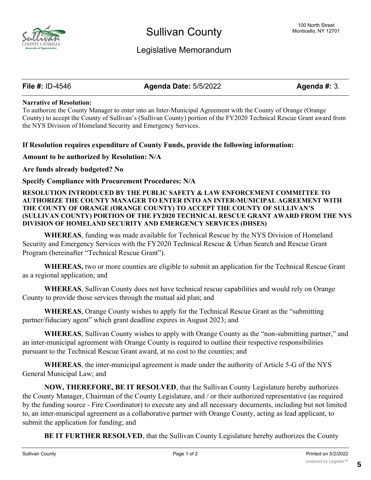

## Legislative Memorandum

**File #:** ID-4546 **Agenda Date:** 5/5/2022 **Agenda #:** 3.

#### **Narrative of Resolution:**

To authorize the County Manager to enter into an Inter-Municipal Agreement with the County of Orange (Orange County) to accept the County of Sullivan's (Sullivan County) portion of the FY2020 Technical Rescue Grant award from the NYS Division of Homeland Security and Emergency Services.

#### **If Resolution requires expenditure of County Funds, provide the following information:**

#### **Amount to be authorized by Resolution: N/A**

#### **Are funds already budgeted? No**

**Specify Compliance with Procurement Procedures: N/A**

#### **RESOLUTION INTRODUCED BY THE PUBLIC SAFETY & LAW ENFORCEMENT COMMITTEE TO AUTHORIZE THE COUNTY MANAGER TO ENTER INTO AN INTER-MUNICIPAL AGREEMENT WITH THE COUNTY OF ORANGE (ORANGE COUNTY) TO ACCEPT THE COUNTY OF SULLIVAN'S (SULLIVAN COUNTY) PORTION OF THE FY2020 TECHNICAL RESCUE GRANT AWARD FROM THE NYS DIVISION OF HOMELAND SECURITY AND EMERGENCY SERVICES (DHSES)**

**WHEREAS**, funding was made available for Technical Rescue by the NYS Division of Homeland Security and Emergency Services with the FY2020 Technical Rescue & Urban Search and Rescue Grant Program (hereinafter "Technical Rescue Grant").

**WHEREAS,** two or more counties are eligible to submit an application for the Technical Rescue Grant as a regional application; and

**WHEREAS**, Sullivan County does not have technical rescue capabilities and would rely on Orange County to provide those services through the mutual aid plan; and

**WHEREAS**, Orange County wishes to apply for the Technical Rescue Grant as the "submitting partner/fiduciary agent" which grant deadline expires in August 2023; and

**WHEREAS**, Sullivan County wishes to apply with Orange County as the "non-submitting partner," and an inter-municipal agreement with Orange County is required to outline their respective responsibilities pursuant to the Technical Rescue Grant award, at no cost to the counties; and

**WHEREAS**, the inter-municipal agreement is made under the authority of Article 5-G of the NYS General Municipal Law; and

**NOW, THEREFORE, BE IT RESOLVED**, that the Sullivan County Legislature hereby authorizes the County Manager, Chairman of the County Legislature, and / or their authorized representative (as required by the funding source - Fire Coordinator) to execute any and all necessary documents, including but not limited to, an inter-municipal agreement as a collaborative partner with Orange County, acting as lead applicant, to submit the application for funding; and

**BE IT FURTHER RESOLVED**, that the Sullivan County Legislature hereby authorizes the County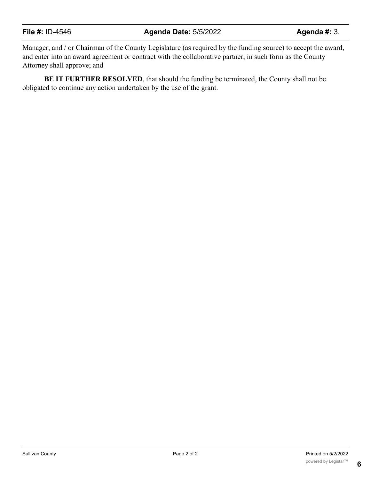## **File #:** ID-4546 **Agenda Date:** 5/5/2022 **Agenda #:** 3.

Manager, and / or Chairman of the County Legislature (as required by the funding source) to accept the award, and enter into an award agreement or contract with the collaborative partner, in such form as the County Attorney shall approve; and

**BE IT FURTHER RESOLVED**, that should the funding be terminated, the County shall not be obligated to continue any action undertaken by the use of the grant.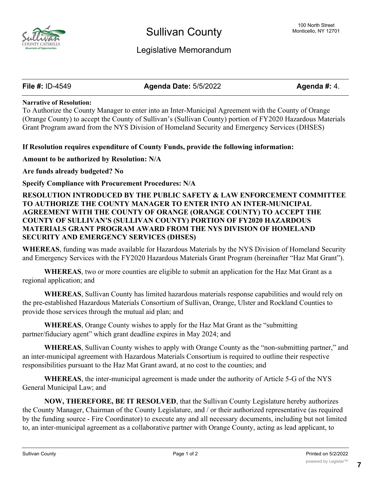

## Legislative Memorandum

**File #:** ID-4549 **Agenda Date:** 5/5/2022 **Agenda #:** 4.

#### **Narrative of Resolution:**

To Authorize the County Manager to enter into an Inter-Municipal Agreement with the County of Orange (Orange County) to accept the County of Sullivan's (Sullivan County) portion of FY2020 Hazardous Materials Grant Program award from the NYS Division of Homeland Security and Emergency Services (DHSES)

#### **If Resolution requires expenditure of County Funds, provide the following information:**

**Amount to be authorized by Resolution: N/A**

**Are funds already budgeted? No**

**Specify Compliance with Procurement Procedures: N/A**

#### **RESOLUTION INTRODUCED BY THE PUBLIC SAFETY & LAW ENFORCEMENT COMMITTEE TO AUTHORIZE THE COUNTY MANAGER TO ENTER INTO AN INTER-MUNICIPAL AGREEMENT WITH THE COUNTY OF ORANGE (ORANGE COUNTY) TO ACCEPT THE COUNTY OF SULLIVAN'S (SULLIVAN COUNTY) PORTION OF FY2020 HAZARDOUS MATERIALS GRANT PROGRAM AWARD FROM THE NYS DIVISION OF HOMELAND SECURITY AND EMERGENCY SERVICES (DHSES)**

**WHEREAS**, funding was made available for Hazardous Materials by the NYS Division of Homeland Security and Emergency Services with the FY2020 Hazardous Materials Grant Program (hereinafter "Haz Mat Grant").

**WHEREAS**, two or more counties are eligible to submit an application for the Haz Mat Grant as a regional application; and

**WHEREAS**, Sullivan County has limited hazardous materials response capabilities and would rely on the pre-established Hazardous Materials Consortium of Sullivan, Orange, Ulster and Rockland Counties to provide those services through the mutual aid plan; and

**WHEREAS**, Orange County wishes to apply for the Haz Mat Grant as the "submitting partner/fiduciary agent" which grant deadline expires in May 2024; and

**WHEREAS**, Sullivan County wishes to apply with Orange County as the "non-submitting partner," and an inter-municipal agreement with Hazardous Materials Consortium is required to outline their respective responsibilities pursuant to the Haz Mat Grant award, at no cost to the counties; and

**WHEREAS**, the inter-municipal agreement is made under the authority of Article 5-G of the NYS General Municipal Law; and

**NOW, THEREFORE, BE IT RESOLVED**, that the Sullivan County Legislature hereby authorizes the County Manager, Chairman of the County Legislature, and / or their authorized representative (as required by the funding source - Fire Coordinator) to execute any and all necessary documents, including but not limited to, an inter-municipal agreement as a collaborative partner with Orange County, acting as lead applicant, to